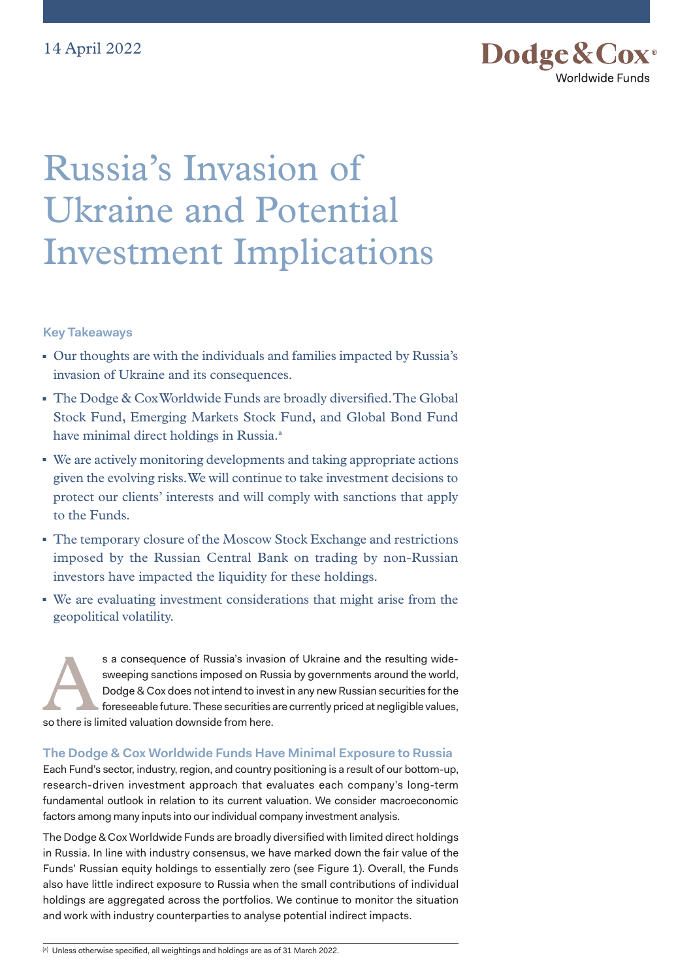

# Russia's Invasion of Ukraine and Potential Investment Implications

**Key Takeaways** 

- Our thoughts are with the individuals and families impacted by Russia's invasion of Ukraine and its consequences.
- The Dodge & Cox Worldwide Funds are broadly diversified. The Global Stock Fund, Emerging Markets Stock Fund, and Global Bond Fund have minimal direct holdings in Russia.<sup>a</sup>
- We are actively monitoring developments and taking appropriate actions given the evolving risks. We will continue to take investment decisions to protect our clients' interests and will comply with sanctions that apply to the Funds.
- The temporary closure of the Moscow Stock Exchange and restrictions imposed by the Russian Central Bank on trading by non-Russian investors have impacted the liquidity for these holdings.
- <sup>◼</sup> We are evaluating investment considerations that might arise from the geopolitical volatility.

s a consequence of Russia's invasion of Ukraine and the resulting wide-<br>sweeping sanctions imposed on Russia by governments around the world,<br>Dodge & Cox does not intend to invest in any new Russian securities for the<br>fore sweeping sanctions imposed on Russia by governments around the world, Dodge & Cox does not intend to invest in any new Russian securities for the foreseeable future. These securities are currently priced at negligible values, so there is limited valuation downside from here.

# **The Dodge & Cox Worldwide Funds Have Minimal Exposure to Russia**

Each Fund's sector, industry, region, and country positioning is a result of our bottom-up, research-driven investment approach that evaluates each company's long-term fundamental outlook in relation to its current valuation. We consider macroeconomic factors among many inputs into our individual company investment analysis.

The Dodge & Cox Worldwide Funds are broadly diversified with limited direct holdings in Russia. In line with industry consensus, we have marked down the fair value of the Funds' Russian equity holdings to essentially zero (see Figure 1). Overall, the Funds also have little indirect exposure to Russia when the small contributions of individual holdings are aggregated across the portfolios. We continue to monitor the situation and work with industry counterparties to analyse potential indirect impacts.

(a) Unless otherwise specified, all weightings and holdings are as of 31 March 2022.